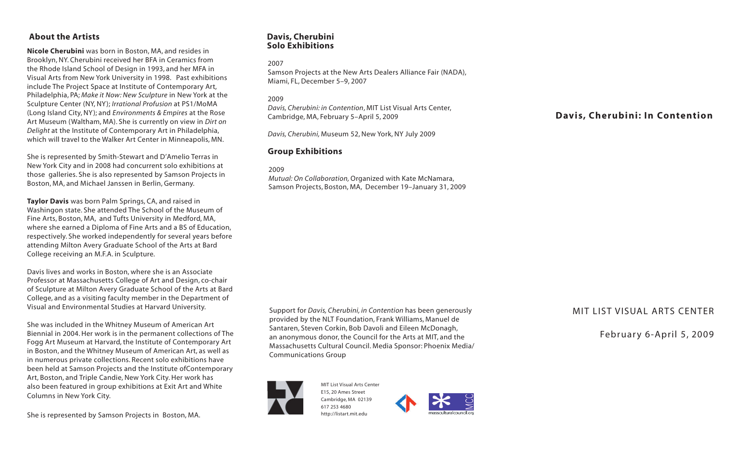## **About the Artists**

**Nicole Cherubini** was born in Boston, MA, and resides in Brooklyn, NY. Cherubini received her BFA in Ceramics from the Rhode Island School of Design in 1993, and her MFA in Visual Arts from New York University in 1998. Past exhibitions include The Project Space at Institute of Contemporary Art, Philadelphia, PA; *Make it Now: New Sculpture* in New York at the Sculpture Center (NY, NY); *Irrational Profusion* at PS1/MoMA (Long Island City, NY); and *Environments & Empires* at the Rose Art Museum (Waltham, MA). She is currently on view in *Dirt on Delight* at the Institute of Contemporary Art in Philadelphia, which will travel to the Walker Art Center in Minneapolis, MN.

She is represented by Smith-Stewart and D'Amelio Terras in New York City and in 2008 had concurrent solo exhibitions at those galleries. She is also represented by Samson Projects in Boston, MA, and Michael Janssen in Berlin, Germany.

**Taylor Davis** was born Palm Springs, CA, and raised in Washingon state. She attended The School of the Museum of Fine Arts, Boston, MA, and Tufts University in Medford, MA, where she earned a Diploma of Fine Arts and a BS of Education, respectively. She worked independently for several years before attending Milton Avery Graduate School of the Arts at Bard College receiving an M.F.A. in Sculpture.

Davis lives and works in Boston, where she is an Associate Professor at Massachusetts College of Art and Design, co-chair of Sculpture at Milton Avery Graduate School of the Arts at Bard College, and as a visiting faculty member in the Department of Visual and Environmental Studies at Harvard University.

She was included in the Whitney Museum of American Art Biennial in 2004. Her work is in the permanent collections of The Fogg Art Museum at Harvard, the Institute of Contemporary Art in Boston, and the Whitney Museum of American Art, as well as in numerous private collections. Recent solo exhibitions have been held at Samson Projects and the Institute ofContemporary Art, Boston, and Triple Candie, New York City. Her work has also been featured in group exhibitions at Exit Art and White Columns in New York City.

She is represented by Samson Projects in Boston, MA.

## **Davis, Cherubini Solo Exhibitions**

### 2007

Samson Projects at the New Arts Dealers Alliance Fair (NADA), Miami, FL, December 5–9, 2007

### 2009

*Davis, Cherubini: in Contention*, MIT List Visual Arts Center, Cambridge, MA, February 5–April 5, 2009

*Davis, Cherubini,* Museum 52, New York, NY July 2009

## **Group Exhibitions**

#### 2009

*Mutual: On Collaboration,* Organized with Kate McNamara, Samson Projects, Boston, MA, December 19–January 31, 2009

Support for *Davis, Cherubini, in Contention* has been generously provided by the NLT Foundation, Frank Williams, Manuel de Santaren, Steven Corkin, Bob Davoli and Eileen McDonagh, an anonymous donor, the Council for the Arts at MIT, and the Massachusetts Cultural Council. Media Sponsor: Phoenix Media/ Communications Group



MIT List Visual Arts Center E15, 20 Ames Street Cambridge, MA 02139 617 253 [4680](tel:6172534680) <http://listart.mit.edu>



# **Davis, Cherubini: In Contention**

## MIT LIST VISUAL ARTS CENTER

February 6-April 5, 2009